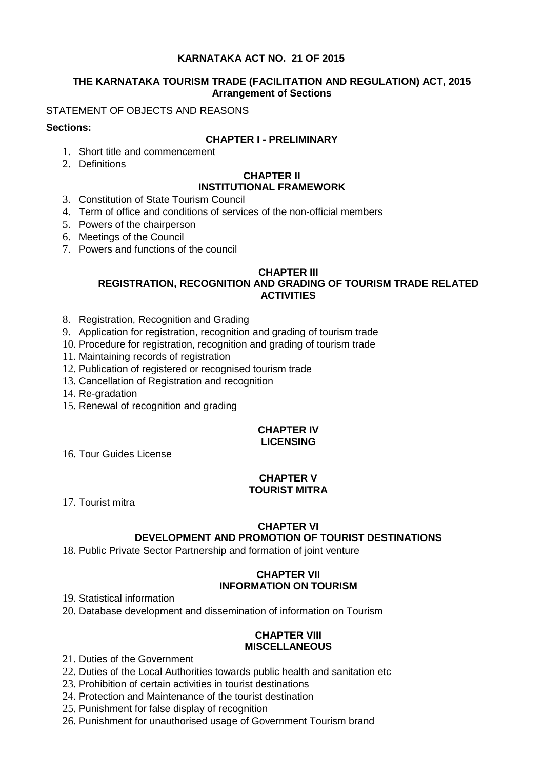# **KARNATAKA ACT NO. 21 OF 2015**

## **THE KARNATAKA TOURISM TRADE (FACILITATION AND REGULATION) ACT, 2015 Arrangement of Sections**

## STATEMENT OF OBJECTS AND REASONS

## **Sections:**

## **CHAPTER I - PRELIMINARY**

- 1. Short title and commencement
- 2. Definitions

#### **CHAPTER II INSTITUTIONAL FRAMEWORK**

- 3. Constitution of State Tourism Council
- 4. Term of office and conditions of services of the non-official members
- 5. Powers of the chairperson
- 6. Meetings of the Council
- 7. Powers and functions of the council

## **CHAPTER III**

# **REGISTRATION, RECOGNITION AND GRADING OF TOURISM TRADE RELATED ACTIVITIES**

- 8. Registration, Recognition and Grading
- 9. Application for registration, recognition and grading of tourism trade
- 10. Procedure for registration, recognition and grading of tourism trade
- 11. Maintaining records of registration
- 12. Publication of registered or recognised tourism trade
- 13. Cancellation of Registration and recognition
- 14. Re-gradation
- 15. Renewal of recognition and grading

## **CHAPTER IV LICENSING**

16. Tour Guides License

## **CHAPTER V TOURIST MITRA**

17. Tourist mitra

## **CHAPTER VI**

# **DEVELOPMENT AND PROMOTION OF TOURIST DESTINATIONS**

18. Public Private Sector Partnership and formation of joint venture

# **CHAPTER VII INFORMATION ON TOURISM**

19. Statistical information

20. Database development and dissemination of information on Tourism

## **CHAPTER VIII MISCELLANEOUS**

- 21. Duties of the Government
- 22. Duties of the Local Authorities towards public health and sanitation etc
- 23. Prohibition of certain activities in tourist destinations
- 24. Protection and Maintenance of the tourist destination
- 25. Punishment for false display of recognition
- 26. Punishment for unauthorised usage of Government Tourism brand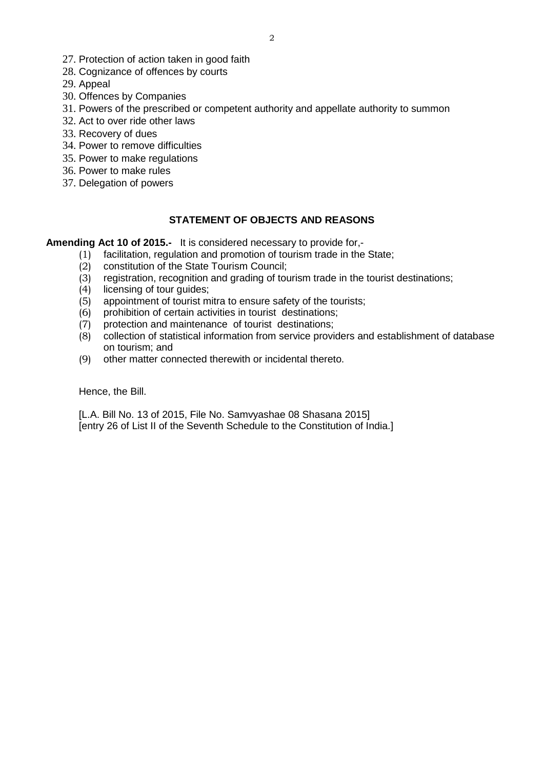- 27. Protection of action taken in good faith
- 28. Cognizance of offences by courts

29. Appeal

- 30. Offences by Companies
- 31. Powers of the prescribed or competent authority and appellate authority to summon
- 32. Act to over ride other laws
- 33. Recovery of dues
- 34. Power to remove difficulties
- 35. Power to make regulations
- 36. Power to make rules
- 37. Delegation of powers

## **STATEMENT OF OBJECTS AND REASONS**

**Amending Act 10 of 2015.-** It is considered necessary to provide for,-

- (1) facilitation, regulation and promotion of tourism trade in the State;<br>(2) constitution of the State Tourism Council;
- $(2)$  constitution of the State Tourism Council;<br>(3) registration, recognition and grading of tour
- $(3)$  registration, recognition and grading of tourism trade in the tourist destinations;<br>(4) licensing of tour guides;
- licensing of tour guides;
- (5) appointment of tourist mitra to ensure safety of the tourists;
- (6) prohibition of certain activities in tourist destinations;
- (7) protection and maintenance of tourist destinations;
- (8) collection of statistical information from service providers and establishment of database on tourism; and
- (9) other matter connected therewith or incidental thereto.

Hence, the Bill.

[L.A. Bill No. 13 of 2015, File No. Samvyashae 08 Shasana 2015] [entry 26 of List II of the Seventh Schedule to the Constitution of India.]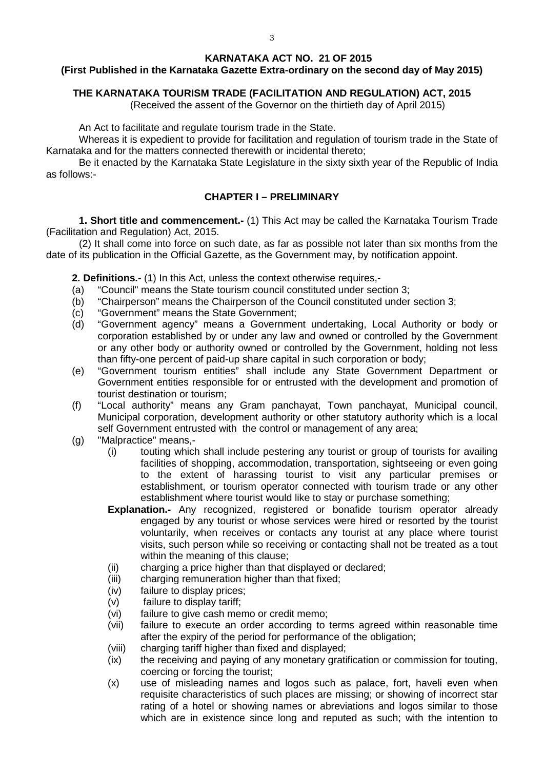### **KARNATAKA ACT NO. 21 OF 2015**

## **(First Published in the Karnataka Gazette Extra-ordinary on the second day of May 2015)**

## **THE KARNATAKA TOURISM TRADE (FACILITATION AND REGULATION) ACT, 2015**

(Received the assent of the Governor on the thirtieth day of April 2015)

An Act to facilitate and regulate tourism trade in the State.

Whereas it is expedient to provide for facilitation and regulation of tourism trade in the State of Karnataka and for the matters connected therewith or incidental thereto;

Be it enacted by the Karnataka State Legislature in the sixty sixth year of the Republic of India as follows:-

## **CHAPTER I – PRELIMINARY**

**1. Short title and commencement.-** (1) This Act may be called the Karnataka Tourism Trade (Facilitation and Regulation) Act, 2015.

(2) It shall come into force on such date, as far as possible not later than six months from the date of its publication in the Official Gazette, as the Government may, by notification appoint.

**2. Definitions.-** (1) In this Act, unless the context otherwise requires,-

- (a) "Council" means the State tourism council constituted under section 3;
- (b) "Chairperson" means the Chairperson of the Council constituted under section 3;
- (c) "Government" means the State Government;<br>(d) "Government agency" means a Government
- "Government agency" means a Government undertaking, Local Authority or body or corporation established by or under any law and owned or controlled by the Government or any other body or authority owned or controlled by the Government, holding not less than fifty-one percent of paid-up share capital in such corporation or body;
- (e) "Government tourism entities" shall include any State Government Department or Government entities responsible for or entrusted with the development and promotion of tourist destination or tourism;
- (f) "Local authority" means any Gram panchayat, Town panchayat, Municipal council, Municipal corporation, development authority or other statutory authority which is a local self Government entrusted with the control or management of any area;
- (g) "Malpractice" means,-
	- (i) touting which shall include pestering any tourist or group of tourists for availing facilities of shopping, accommodation, transportation, sightseeing or even going to the extent of harassing tourist to visit any particular premises or establishment, or tourism operator connected with tourism trade or any other establishment where tourist would like to stay or purchase something;
	- **Explanation.-** Any recognized, registered or bonafide tourism operator already engaged by any tourist or whose services were hired or resorted by the tourist voluntarily, when receives or contacts any tourist at any place where tourist visits, such person while so receiving or contacting shall not be treated as a tout within the meaning of this clause:
	- (ii) charging a price higher than that displayed or declared;<br>(iii) charging remuneration higher than that fixed:
	- charging remuneration higher than that fixed;
	- (iv) failure to display prices;
	- (v) failure to display tariff;
	- (vi) failure to give cash memo or credit memo;
	- (vii) failure to execute an order according to terms agreed within reasonable time after the expiry of the period for performance of the obligation;
	- (viii) charging tariff higher than fixed and displayed;
	- (ix) the receiving and paying of any monetary gratification or commission for touting, coercing or forcing the tourist;
	- (x) use of misleading names and logos such as palace, fort, haveli even when requisite characteristics of such places are missing; or showing of incorrect star rating of a hotel or showing names or abreviations and logos similar to those which are in existence since long and reputed as such; with the intention to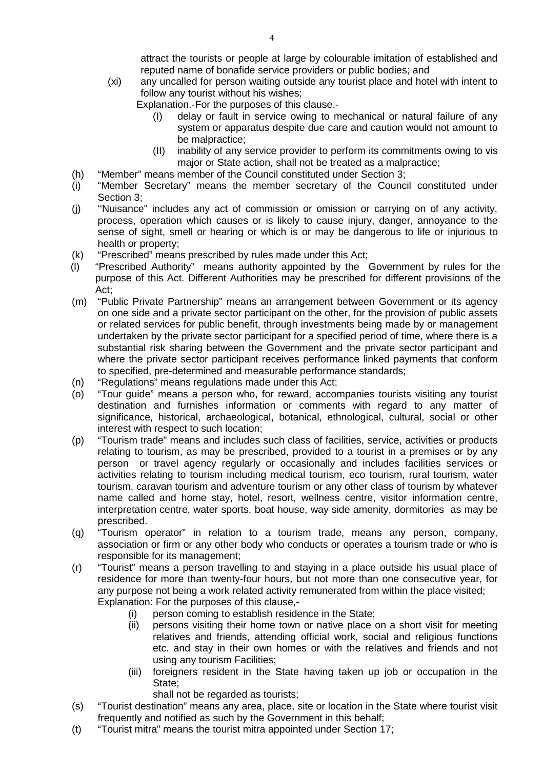attract the tourists or people at large by colourable imitation of established and reputed name of bonafide service providers or public bodies; and

(xi) any uncalled for person waiting outside any tourist place and hotel with intent to follow any tourist without his wishes;

Explanation.-For the purposes of this clause,-

- (I) delay or fault in service owing to mechanical or natural failure of any system or apparatus despite due care and caution would not amount to be malpractice;
- (II) inability of any service provider to perform its commitments owing to vis major or State action, shall not be treated as a malpractice;
- (h) "Member" means member of the Council constituted under Section 3;
- (i) "Member Secretary" means the member secretary of the Council constituted under Section 3:
- (j) ''Nuisance" includes any act of commission or omission or carrying on of any activity, process, operation which causes or is likely to cause injury, danger, annoyance to the sense of sight, smell or hearing or which is or may be dangerous to life or injurious to health or property;
- (k) "Prescribed" means prescribed by rules made under this Act;
- (l) "Prescribed Authority" means authority appointed by the Government by rules for the purpose of this Act. Different Authorities may be prescribed for different provisions of the Act;
- (m) "Public Private Partnership" means an arrangement between Government or its agency on one side and a private sector participant on the other, for the provision of public assets or related services for public benefit, through investments being made by or management undertaken by the private sector participant for a specified period of time, where there is a substantial risk sharing between the Government and the private sector participant and where the private sector participant receives performance linked payments that conform to specified, pre-determined and measurable performance standards;
- (n) "Regulations" means regulations made under this Act;
- (o) "Tour guide" means a person who, for reward, accompanies tourists visiting any tourist destination and furnishes information or comments with regard to any matter of significance, historical, archaeological, botanical, ethnological, cultural, social or other interest with respect to such location;
- (p) "Tourism trade" means and includes such class of facilities, service, activities or products relating to tourism, as may be prescribed, provided to a tourist in a premises or by any person or travel agency regularly or occasionally and includes facilities services or activities relating to tourism including medical tourism, eco tourism, rural tourism, water tourism, caravan tourism and adventure tourism or any other class of tourism by whatever name called and home stay, hotel, resort, wellness centre, visitor information centre, interpretation centre, water sports, boat house, way side amenity, dormitories as may be prescribed.
- (q) "Tourism operator" in relation to a tourism trade, means any person, company, association or firm or any other body who conducts or operates a tourism trade or who is responsible for its management;
- (r) "Tourist" means a person travelling to and staying in a place outside his usual place of residence for more than twenty-four hours, but not more than one consecutive year, for any purpose not being a work related activity remunerated from within the place visited; Explanation: For the purposes of this clause,-
	- (i) person coming to establish residence in the State;
	- (ii) persons visiting their home town or native place on a short visit for meeting relatives and friends, attending official work, social and religious functions etc. and stay in their own homes or with the relatives and friends and not using any tourism Facilities;
	- (iii) foreigners resident in the State having taken up job or occupation in the State;

shall not be regarded as tourists;

- (s) "Tourist destination" means any area, place, site or location in the State where tourist visit frequently and notified as such by the Government in this behalf;
- (t) "Tourist mitra" means the tourist mitra appointed under Section 17;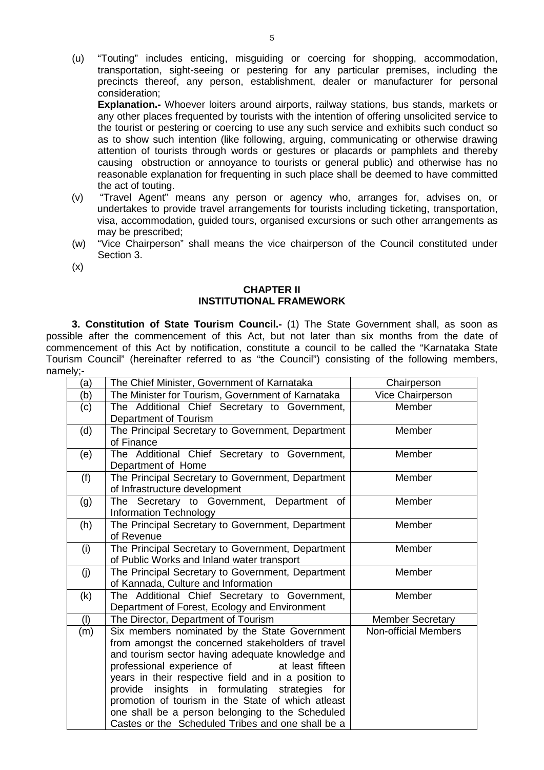(u) "Touting" includes enticing, misguiding or coercing for shopping, accommodation, transportation, sight-seeing or pestering for any particular premises, including the precincts thereof, any person, establishment, dealer or manufacturer for personal consideration;

**Explanation.-** Whoever loiters around airports, railway stations, bus stands, markets or any other places frequented by tourists with the intention of offering unsolicited service to the tourist or pestering or coercing to use any such service and exhibits such conduct so as to show such intention (like following, arguing, communicating or otherwise drawing attention of tourists through words or gestures or placards or pamphlets and thereby causing obstruction or annoyance to tourists or general public) and otherwise has no reasonable explanation for frequenting in such place shall be deemed to have committed the act of touting.

- (v) "Travel Agent" means any person or agency who, arranges for, advises on, or undertakes to provide travel arrangements for tourists including ticketing, transportation, visa, accommodation, guided tours, organised excursions or such other arrangements as may be prescribed;
- (w) "Vice Chairperson" shall means the vice chairperson of the Council constituted under Section 3.
- (x)

### **CHAPTER II INSTITUTIONAL FRAMEWORK**

**3. Constitution of State Tourism Council.-** (1) The State Government shall, as soon as possible after the commencement of this Act, but not later than six months from the date of commencement of this Act by notification, constitute a council to be called the "Karnataka State Tourism Council" (hereinafter referred to as "the Council") consisting of the following members, namely;-

| , و ا ب |                                                                                                 |                             |
|---------|-------------------------------------------------------------------------------------------------|-----------------------------|
| (a)     | The Chief Minister, Government of Karnataka                                                     | Chairperson                 |
| (b)     | The Minister for Tourism, Government of Karnataka                                               | Vice Chairperson            |
| (c)     | The Additional Chief Secretary to Government,                                                   | Member                      |
|         | Department of Tourism                                                                           |                             |
| (d)     | The Principal Secretary to Government, Department<br>of Finance                                 | Member                      |
| (e)     | The Additional Chief Secretary to Government,<br>Department of Home                             | Member                      |
| (f)     | The Principal Secretary to Government, Department<br>of Infrastructure development              | Member                      |
| (g)     | The Secretary to Government, Department<br>of<br>Information Technology                         | Member                      |
| (h)     | The Principal Secretary to Government, Department<br>of Revenue                                 | Member                      |
| (i)     | The Principal Secretary to Government, Department<br>of Public Works and Inland water transport | Member                      |
| (j)     | The Principal Secretary to Government, Department                                               | Member                      |
|         | of Kannada, Culture and Information<br>The Additional Chief Secretary to Government,            | Member                      |
| (k)     | Department of Forest, Ecology and Environment                                                   |                             |
| (1)     | The Director, Department of Tourism                                                             | <b>Member Secretary</b>     |
| (m)     | Six members nominated by the State Government                                                   | <b>Non-official Members</b> |
|         | from amongst the concerned stakeholders of travel                                               |                             |
|         | and tourism sector having adequate knowledge and                                                |                             |
|         | professional experience of<br>at least fifteen                                                  |                             |
|         | years in their respective field and in a position to                                            |                             |
|         | insights in formulating strategies for<br>provide                                               |                             |
|         | promotion of tourism in the State of which atleast                                              |                             |
|         | one shall be a person belonging to the Scheduled                                                |                             |
|         | Castes or the Scheduled Tribes and one shall be a                                               |                             |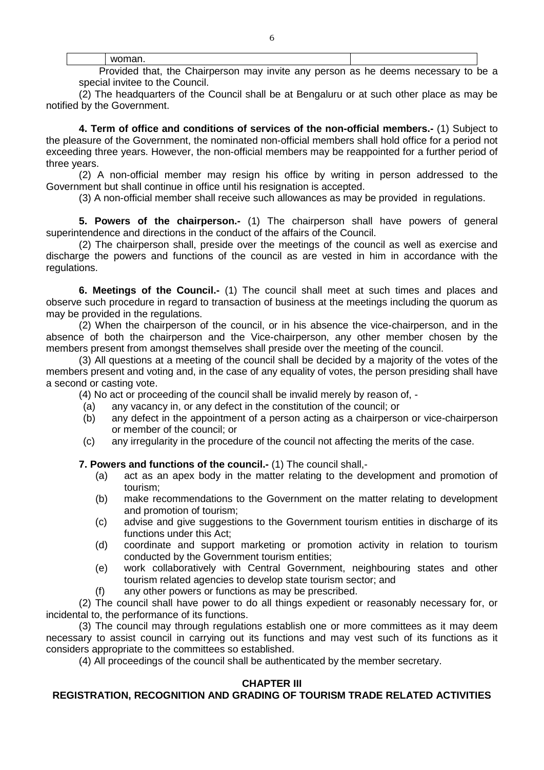Provided that, the Chairperson may invite any person as he deems necessary to be a special invitee to the Council.

(2) The headquarters of the Council shall be at Bengaluru or at such other place as may be notified by the Government.

**4. Term of office and conditions of services of the non-official members.-** (1) Subject to the pleasure of the Government, the nominated non-official members shall hold office for a period not exceeding three years. However, the non-official members may be reappointed for a further period of three years.

(2) A non-official member may resign his office by writing in person addressed to the Government but shall continue in office until his resignation is accepted.

(3) A non-official member shall receive such allowances as may be provided in regulations.

**5. Powers of the chairperson.-** (1) The chairperson shall have powers of general superintendence and directions in the conduct of the affairs of the Council.

(2) The chairperson shall, preside over the meetings of the council as well as exercise and discharge the powers and functions of the council as are vested in him in accordance with the regulations.

**6. Meetings of the Council.-** (1) The council shall meet at such times and places and observe such procedure in regard to transaction of business at the meetings including the quorum as may be provided in the regulations.

(2) When the chairperson of the council, or in his absence the vice-chairperson, and in the absence of both the chairperson and the Vice-chairperson, any other member chosen by the members present from amongst themselves shall preside over the meeting of the council.

(3) All questions at a meeting of the council shall be decided by a majority of the votes of the members present and voting and, in the case of any equality of votes, the person presiding shall have a second or casting vote.

(4) No act or proceeding of the council shall be invalid merely by reason of, -

- (a) any vacancy in, or any defect in the constitution of the council; or
- (b) any defect in the appointment of a person acting as a chairperson or vice-chairperson or member of the council; or
- (c) any irregularity in the procedure of the council not affecting the merits of the case.

**7. Powers and functions of the council.-** (1) The council shall,-

- (a) act as an apex body in the matter relating to the development and promotion of tourism;
- (b) make recommendations to the Government on the matter relating to development and promotion of tourism;
- (c) advise and give suggestions to the Government tourism entities in discharge of its functions under this Act;
- (d) coordinate and support marketing or promotion activity in relation to tourism conducted by the Government tourism entities;
- (e) work collaboratively with Central Government, neighbouring states and other tourism related agencies to develop state tourism sector; and
- (f) any other powers or functions as may be prescribed.

(2) The council shall have power to do all things expedient or reasonably necessary for, or incidental to, the performance of its functions.

(3) The council may through regulations establish one or more committees as it may deem necessary to assist council in carrying out its functions and may vest such of its functions as it considers appropriate to the committees so established.

(4) All proceedings of the council shall be authenticated by the member secretary.

## **CHAPTER III**

## **REGISTRATION, RECOGNITION AND GRADING OF TOURISM TRADE RELATED ACTIVITIES**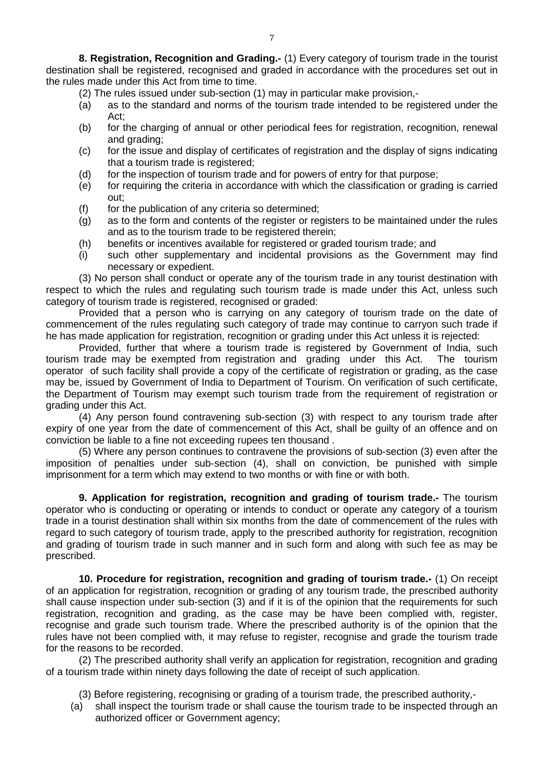**8. Registration, Recognition and Grading.-** (1) Every category of tourism trade in the tourist destination shall be registered, recognised and graded in accordance with the procedures set out in the rules made under this Act from time to time.

- (2) The rules issued under sub-section (1) may in particular make provision,-
- (a) as to the standard and norms of the tourism trade intended to be registered under the Act;
- (b) for the charging of annual or other periodical fees for registration, recognition, renewal and grading;
- (c) for the issue and display of certificates of registration and the display of signs indicating that a tourism trade is registered;
- (d) for the inspection of tourism trade and for powers of entry for that purpose;
- (e) for requiring the criteria in accordance with which the classification or grading is carried out;
- (f) for the publication of any criteria so determined;
- (g) as to the form and contents of the register or registers to be maintained under the rules and as to the tourism trade to be registered therein;
- (h) benefits or incentives available for registered or graded tourism trade; and
- (i) such other supplementary and incidental provisions as the Government may find necessary or expedient.

(3) No person shall conduct or operate any of the tourism trade in any tourist destination with respect to which the rules and regulating such tourism trade is made under this Act, unless such category of tourism trade is registered, recognised or graded:

Provided that a person who is carrying on any category of tourism trade on the date of commencement of the rules regulating such category of trade may continue to carryon such trade if he has made application for registration, recognition or grading under this Act unless it is rejected:

Provided, further that where a tourism trade is registered by Government of India, such tourism trade may be exempted from registration and grading under this Act. The tourism operator of such facility shall provide a copy of the certificate of registration or grading, as the case may be, issued by Government of India to Department of Tourism. On verification of such certificate, the Department of Tourism may exempt such tourism trade from the requirement of registration or grading under this Act.

(4) Any person found contravening sub-section (3) with respect to any tourism trade after expiry of one year from the date of commencement of this Act, shall be guilty of an offence and on conviction be liable to a fine not exceeding rupees ten thousand .

(5) Where any person continues to contravene the provisions of sub-section (3) even after the imposition of penalties under sub-section (4), shall on conviction, be punished with simple imprisonment for a term which may extend to two months or with fine or with both.

**9. Application for registration, recognition and grading of tourism trade.-** The tourism operator who is conducting or operating or intends to conduct or operate any category of a tourism trade in a tourist destination shall within six months from the date of commencement of the rules with regard to such category of tourism trade, apply to the prescribed authority for registration, recognition and grading of tourism trade in such manner and in such form and along with such fee as may be prescribed.

**10. Procedure for registration, recognition and grading of tourism trade.-** (1) On receipt of an application for registration, recognition or grading of any tourism trade, the prescribed authority shall cause inspection under sub-section (3) and if it is of the opinion that the requirements for such registration, recognition and grading, as the case may be have been complied with, register, recognise and grade such tourism trade. Where the prescribed authority is of the opinion that the rules have not been complied with, it may refuse to register, recognise and grade the tourism trade for the reasons to be recorded.

(2) The prescribed authority shall verify an application for registration, recognition and grading of a tourism trade within ninety days following the date of receipt of such application.

- (3) Before registering, recognising or grading of a tourism trade, the prescribed authority,-
- (a) shall inspect the tourism trade or shall cause the tourism trade to be inspected through an authorized officer or Government agency;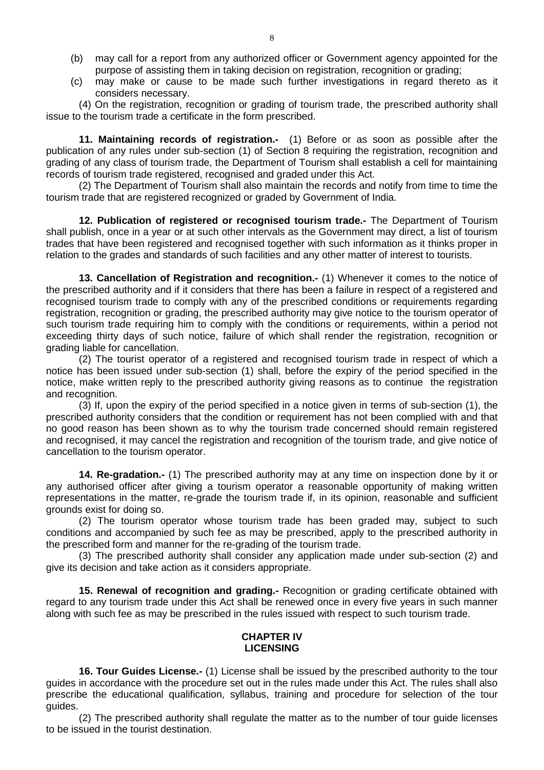- (b) may call for a report from any authorized officer or Government agency appointed for the purpose of assisting them in taking decision on registration, recognition or grading;
- (c) may make or cause to be made such further investigations in regard thereto as it considers necessary.

(4) On the registration, recognition or grading of tourism trade, the prescribed authority shall issue to the tourism trade a certificate in the form prescribed.

**11. Maintaining records of registration.-** (1) Before or as soon as possible after the publication of any rules under sub-section (1) of Section 8 requiring the registration, recognition and grading of any class of tourism trade, the Department of Tourism shall establish a cell for maintaining records of tourism trade registered, recognised and graded under this Act.

(2) The Department of Tourism shall also maintain the records and notify from time to time the tourism trade that are registered recognized or graded by Government of India.

**12. Publication of registered or recognised tourism trade.-** The Department of Tourism shall publish, once in a year or at such other intervals as the Government may direct, a list of tourism trades that have been registered and recognised together with such information as it thinks proper in relation to the grades and standards of such facilities and any other matter of interest to tourists.

**13. Cancellation of Registration and recognition.-** (1) Whenever it comes to the notice of the prescribed authority and if it considers that there has been a failure in respect of a registered and recognised tourism trade to comply with any of the prescribed conditions or requirements regarding registration, recognition or grading, the prescribed authority may give notice to the tourism operator of such tourism trade requiring him to comply with the conditions or requirements, within a period not exceeding thirty days of such notice, failure of which shall render the registration, recognition or grading liable for cancellation.

(2) The tourist operator of a registered and recognised tourism trade in respect of which a notice has been issued under sub-section (1) shall, before the expiry of the period specified in the notice, make written reply to the prescribed authority giving reasons as to continue the registration and recognition.

(3) If, upon the expiry of the period specified in a notice given in terms of sub-section (1), the prescribed authority considers that the condition or requirement has not been complied with and that no good reason has been shown as to why the tourism trade concerned should remain registered and recognised, it may cancel the registration and recognition of the tourism trade, and give notice of cancellation to the tourism operator.

**14. Re-gradation.-** (1) The prescribed authority may at any time on inspection done by it or any authorised officer after giving a tourism operator a reasonable opportunity of making written representations in the matter, re-grade the tourism trade if, in its opinion, reasonable and sufficient grounds exist for doing so.

(2) The tourism operator whose tourism trade has been graded may, subject to such conditions and accompanied by such fee as may be prescribed, apply to the prescribed authority in the prescribed form and manner for the re-grading of the tourism trade.

(3) The prescribed authority shall consider any application made under sub-section (2) and give its decision and take action as it considers appropriate.

**15. Renewal of recognition and grading.-** Recognition or grading certificate obtained with regard to any tourism trade under this Act shall be renewed once in every five years in such manner along with such fee as may be prescribed in the rules issued with respect to such tourism trade.

## **CHAPTER IV LICENSING**

**16. Tour Guides License.-** (1) License shall be issued by the prescribed authority to the tour guides in accordance with the procedure set out in the rules made under this Act. The rules shall also prescribe the educational qualification, syllabus, training and procedure for selection of the tour guides.

(2) The prescribed authority shall regulate the matter as to the number of tour guide licenses to be issued in the tourist destination.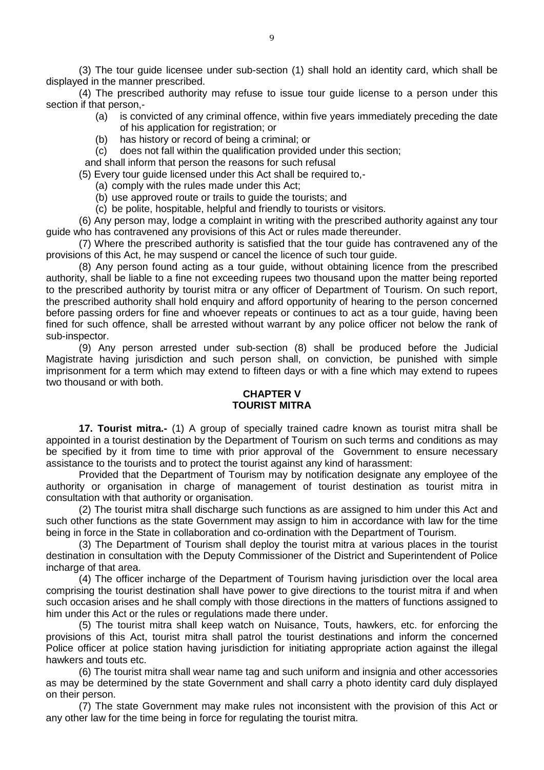(3) The tour guide licensee under sub-section (1) shall hold an identity card, which shall be displayed in the manner prescribed.

(4) The prescribed authority may refuse to issue tour guide license to a person under this section if that person,-

- (a) is convicted of any criminal offence, within five years immediately preceding the date of his application for registration; or
- (b) has history or record of being a criminal; or
- (c) does not fall within the qualification provided under this section;

and shall inform that person the reasons for such refusal

(5) Every tour guide licensed under this Act shall be required to,-

- (a) comply with the rules made under this Act;
- (b) use approved route or trails to guide the tourists; and
- (c) be polite, hospitable, helpful and friendly to tourists or visitors.

(6) Any person may, lodge a complaint in writing with the prescribed authority against any tour guide who has contravened any provisions of this Act or rules made thereunder.

(7) Where the prescribed authority is satisfied that the tour guide has contravened any of the provisions of this Act, he may suspend or cancel the licence of such tour guide.

(8) Any person found acting as a tour guide, without obtaining licence from the prescribed authority, shall be liable to a fine not exceeding rupees two thousand upon the matter being reported to the prescribed authority by tourist mitra or any officer of Department of Tourism. On such report, the prescribed authority shall hold enquiry and afford opportunity of hearing to the person concerned before passing orders for fine and whoever repeats or continues to act as a tour guide, having been fined for such offence, shall be arrested without warrant by any police officer not below the rank of sub-inspector.

(9) Any person arrested under sub-section (8) shall be produced before the Judicial Magistrate having jurisdiction and such person shall, on conviction, be punished with simple imprisonment for a term which may extend to fifteen days or with a fine which may extend to rupees two thousand or with both.

### **CHAPTER V TOURIST MITRA**

**17. Tourist mitra.-** (1) A group of specially trained cadre known as tourist mitra shall be appointed in a tourist destination by the Department of Tourism on such terms and conditions as may be specified by it from time to time with prior approval of the Government to ensure necessary assistance to the tourists and to protect the tourist against any kind of harassment:

Provided that the Department of Tourism may by notification designate any employee of the authority or organisation in charge of management of tourist destination as tourist mitra in consultation with that authority or organisation.

(2) The tourist mitra shall discharge such functions as are assigned to him under this Act and such other functions as the state Government may assign to him in accordance with law for the time being in force in the State in collaboration and co-ordination with the Department of Tourism.

(3) The Department of Tourism shall deploy the tourist mitra at various places in the tourist destination in consultation with the Deputy Commissioner of the District and Superintendent of Police incharge of that area.

(4) The officer incharge of the Department of Tourism having jurisdiction over the local area comprising the tourist destination shall have power to give directions to the tourist mitra if and when such occasion arises and he shall comply with those directions in the matters of functions assigned to him under this Act or the rules or regulations made there under.

(5) The tourist mitra shall keep watch on Nuisance, Touts, hawkers, etc. for enforcing the provisions of this Act, tourist mitra shall patrol the tourist destinations and inform the concerned Police officer at police station having jurisdiction for initiating appropriate action against the illegal hawkers and touts etc.

(6) The tourist mitra shall wear name tag and such uniform and insignia and other accessories as may be determined by the state Government and shall carry a photo identity card duly displayed on their person.

(7) The state Government may make rules not inconsistent with the provision of this Act or any other law for the time being in force for regulating the tourist mitra.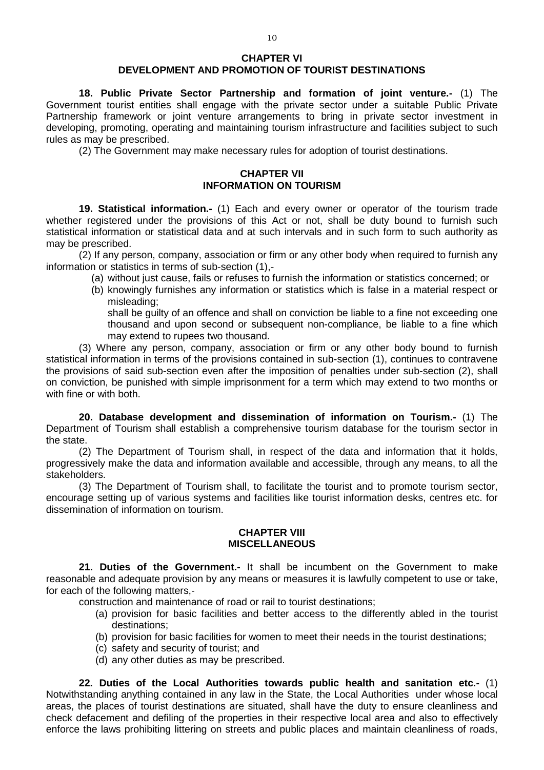#### **CHAPTER VI DEVELOPMENT AND PROMOTION OF TOURIST DESTINATIONS**

**18. Public Private Sector Partnership and formation of joint venture.-** (1) The Government tourist entities shall engage with the private sector under a suitable Public Private Partnership framework or joint venture arrangements to bring in private sector investment in developing, promoting, operating and maintaining tourism infrastructure and facilities subject to such rules as may be prescribed.

(2) The Government may make necessary rules for adoption of tourist destinations.

## **CHAPTER VII INFORMATION ON TOURISM**

**19. Statistical information.-** (1) Each and every owner or operator of the tourism trade whether registered under the provisions of this Act or not, shall be duty bound to furnish such statistical information or statistical data and at such intervals and in such form to such authority as may be prescribed.

(2) If any person, company, association or firm or any other body when required to furnish any information or statistics in terms of sub-section (1),-

- (a) without just cause, fails or refuses to furnish the information or statistics concerned; or
- (b) knowingly furnishes any information or statistics which is false in a material respect or misleading;

shall be guilty of an offence and shall on conviction be liable to a fine not exceeding one thousand and upon second or subsequent non-compliance, be liable to a fine which may extend to rupees two thousand.

(3) Where any person, company, association or firm or any other body bound to furnish statistical information in terms of the provisions contained in sub-section (1), continues to contravene the provisions of said sub-section even after the imposition of penalties under sub-section (2), shall on conviction, be punished with simple imprisonment for a term which may extend to two months or with fine or with both.

**20. Database development and dissemination of information on Tourism.-** (1) The Department of Tourism shall establish a comprehensive tourism database for the tourism sector in the state.

(2) The Department of Tourism shall, in respect of the data and information that it holds, progressively make the data and information available and accessible, through any means, to all the stakeholders.

(3) The Department of Tourism shall, to facilitate the tourist and to promote tourism sector, encourage setting up of various systems and facilities like tourist information desks, centres etc. for dissemination of information on tourism.

#### **CHAPTER VIII MISCELLANEOUS**

**21. Duties of the Government.-** It shall be incumbent on the Government to make reasonable and adequate provision by any means or measures it is lawfully competent to use or take, for each of the following matters,-

construction and maintenance of road or rail to tourist destinations;

- (a) provision for basic facilities and better access to the differently abled in the tourist destinations;
- (b) provision for basic facilities for women to meet their needs in the tourist destinations;
- (c) safety and security of tourist; and
- (d) any other duties as may be prescribed.

**22. Duties of the Local Authorities towards public health and sanitation etc.-** (1) Notwithstanding anything contained in any law in the State, the Local Authorities under whose local areas, the places of tourist destinations are situated, shall have the duty to ensure cleanliness and check defacement and defiling of the properties in their respective local area and also to effectively enforce the laws prohibiting littering on streets and public places and maintain cleanliness of roads,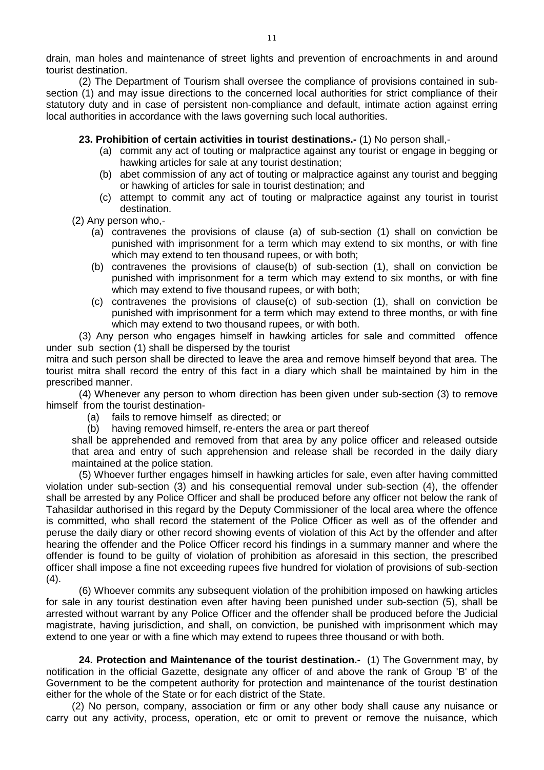drain, man holes and maintenance of street lights and prevention of encroachments in and around tourist destination.

(2) The Department of Tourism shall oversee the compliance of provisions contained in subsection (1) and may issue directions to the concerned local authorities for strict compliance of their statutory duty and in case of persistent non-compliance and default, intimate action against erring local authorities in accordance with the laws governing such local authorities.

### **23. Prohibition of certain activities in tourist destinations.-** (1) No person shall,-

- (a) commit any act of touting or malpractice against any tourist or engage in begging or hawking articles for sale at any tourist destination;
- (b) abet commission of any act of touting or malpractice against any tourist and begging or hawking of articles for sale in tourist destination; and
- (c) attempt to commit any act of touting or malpractice against any tourist in tourist destination.
- (2) Any person who,-
	- (a) contravenes the provisions of clause (a) of sub-section (1) shall on conviction be punished with imprisonment for a term which may extend to six months, or with fine which may extend to ten thousand rupees, or with both;
	- (b) contravenes the provisions of clause(b) of sub-section (1), shall on conviction be punished with imprisonment for a term which may extend to six months, or with fine which may extend to five thousand rupees, or with both:
	- (c) contravenes the provisions of clause(c) of sub-section (1), shall on conviction be punished with imprisonment for a term which may extend to three months, or with fine which may extend to two thousand rupees, or with both.

(3) Any person who engages himself in hawking articles for sale and committed offence under sub section (1) shall be dispersed by the tourist

mitra and such person shall be directed to leave the area and remove himself beyond that area. The tourist mitra shall record the entry of this fact in a diary which shall be maintained by him in the prescribed manner.

(4) Whenever any person to whom direction has been given under sub-section (3) to remove himself from the tourist destination-

- (a) fails to remove himself as directed; or
- (b) having removed himself, re-enters the area or part thereof

shall be apprehended and removed from that area by any police officer and released outside that area and entry of such apprehension and release shall be recorded in the daily diary maintained at the police station.

(5) Whoever further engages himself in hawking articles for sale, even after having committed violation under sub-section (3) and his consequential removal under sub-section (4), the offender shall be arrested by any Police Officer and shall be produced before any officer not below the rank of Tahasildar authorised in this regard by the Deputy Commissioner of the local area where the offence is committed, who shall record the statement of the Police Officer as well as of the offender and peruse the daily diary or other record showing events of violation of this Act by the offender and after hearing the offender and the Police Officer record his findings in a summary manner and where the offender is found to be guilty of violation of prohibition as aforesaid in this section, the prescribed officer shall impose a fine not exceeding rupees five hundred for violation of provisions of sub-section  $(4).$ 

(6) Whoever commits any subsequent violation of the prohibition imposed on hawking articles for sale in any tourist destination even after having been punished under sub-section (5), shall be arrested without warrant by any Police Officer and the offender shall be produced before the Judicial magistrate, having jurisdiction, and shall, on conviction, be punished with imprisonment which may extend to one year or with a fine which may extend to rupees three thousand or with both.

**24. Protection and Maintenance of the tourist destination.-** (1) The Government may, by notification in the official Gazette, designate any officer of and above the rank of Group 'B' of the Government to be the competent authority for protection and maintenance of the tourist destination either for the whole of the State or for each district of the State.

(2) No person, company, association or firm or any other body shall cause any nuisance or carry out any activity, process, operation, etc or omit to prevent or remove the nuisance, which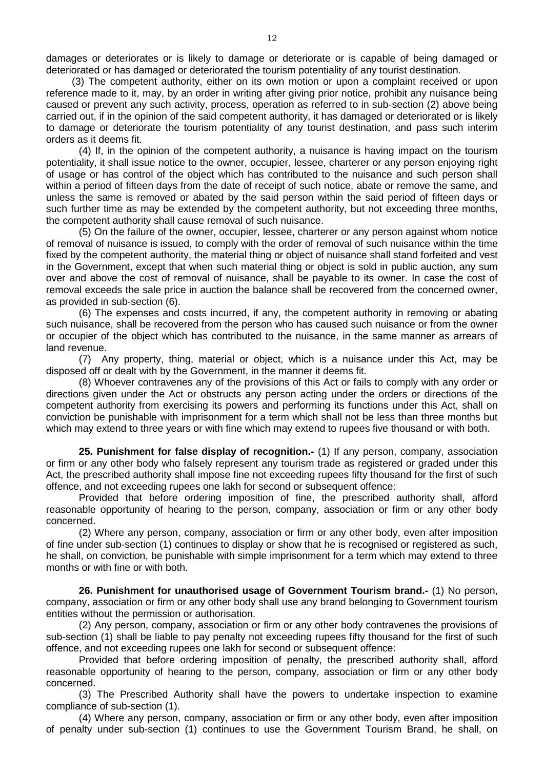damages or deteriorates or is likely to damage or deteriorate or is capable of being damaged or deteriorated or has damaged or deteriorated the tourism potentiality of any tourist destination.

(3) The competent authority, either on its own motion or upon a complaint received or upon reference made to it, may, by an order in writing after giving prior notice, prohibit any nuisance being caused or prevent any such activity, process, operation as referred to in sub-section (2) above being carried out, if in the opinion of the said competent authority, it has damaged or deteriorated or is likely to damage or deteriorate the tourism potentiality of any tourist destination, and pass such interim orders as it deems fit.

(4) If, in the opinion of the competent authority, a nuisance is having impact on the tourism potentiality, it shall issue notice to the owner, occupier, lessee, charterer or any person enjoying right of usage or has control of the object which has contributed to the nuisance and such person shall within a period of fifteen days from the date of receipt of such notice, abate or remove the same, and unless the same is removed or abated by the said person within the said period of fifteen days or such further time as may be extended by the competent authority, but not exceeding three months, the competent authority shall cause removal of such nuisance.

(5) On the failure of the owner, occupier, lessee, charterer or any person against whom notice of removal of nuisance is issued, to comply with the order of removal of such nuisance within the time fixed by the competent authority, the material thing or object of nuisance shall stand forfeited and vest in the Government, except that when such material thing or object is sold in public auction, any sum over and above the cost of removal of nuisance, shall be payable to its owner. In case the cost of removal exceeds the sale price in auction the balance shall be recovered from the concerned owner, as provided in sub-section (6).

(6) The expenses and costs incurred, if any, the competent authority in removing or abating such nuisance, shall be recovered from the person who has caused such nuisance or from the owner or occupier of the object which has contributed to the nuisance, in the same manner as arrears of land revenue.

(7) Any property, thing, material or object, which is a nuisance under this Act, may be disposed off or dealt with by the Government, in the manner it deems fit.

(8) Whoever contravenes any of the provisions of this Act or fails to comply with any order or directions given under the Act or obstructs any person acting under the orders or directions of the competent authority from exercising its powers and performing its functions under this Act, shall on conviction be punishable with imprisonment for a term which shall not be less than three months but which may extend to three years or with fine which may extend to rupees five thousand or with both.

**25. Punishment for false display of recognition.-** (1) If any person, company, association or firm or any other body who falsely represent any tourism trade as registered or graded under this Act, the prescribed authority shall impose fine not exceeding rupees fifty thousand for the first of such offence, and not exceeding rupees one lakh for second or subsequent offence:

Provided that before ordering imposition of fine, the prescribed authority shall, afford reasonable opportunity of hearing to the person, company, association or firm or any other body concerned.

(2) Where any person, company, association or firm or any other body, even after imposition of fine under sub-section (1) continues to display or show that he is recognised or registered as such, he shall, on conviction, be punishable with simple imprisonment for a term which may extend to three months or with fine or with both.

**26. Punishment for unauthorised usage of Government Tourism brand.-** (1) No person, company, association or firm or any other body shall use any brand belonging to Government tourism entities without the permission or authorisation.

(2) Any person, company, association or firm or any other body contravenes the provisions of sub-section (1) shall be liable to pay penalty not exceeding rupees fifty thousand for the first of such offence, and not exceeding rupees one lakh for second or subsequent offence:

Provided that before ordering imposition of penalty, the prescribed authority shall, afford reasonable opportunity of hearing to the person, company, association or firm or any other body concerned.

(3) The Prescribed Authority shall have the powers to undertake inspection to examine compliance of sub-section (1).

(4) Where any person, company, association or firm or any other body, even after imposition of penalty under sub-section (1) continues to use the Government Tourism Brand, he shall, on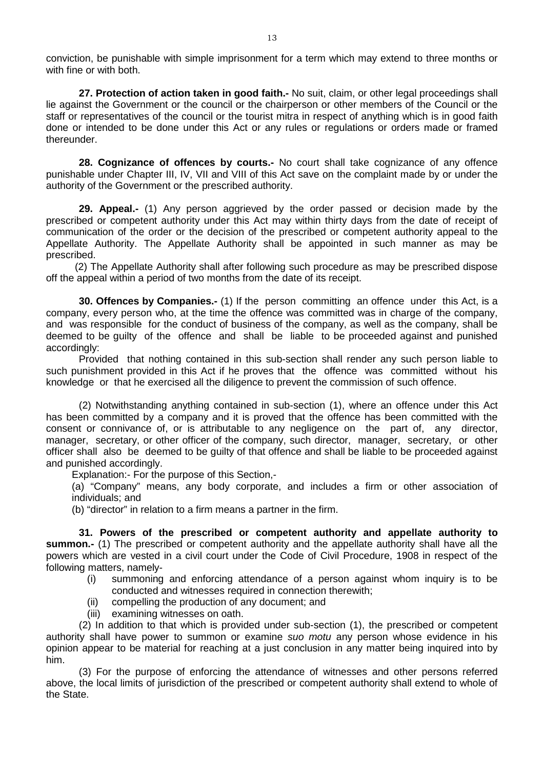conviction, be punishable with simple imprisonment for a term which may extend to three months or with fine or with both.

**27. Protection of action taken in good faith.-** No suit, claim, or other legal proceedings shall lie against the Government or the council or the chairperson or other members of the Council or the staff or representatives of the council or the tourist mitra in respect of anything which is in good faith done or intended to be done under this Act or any rules or regulations or orders made or framed thereunder.

**28. Cognizance of offences by courts.-** No court shall take cognizance of any offence punishable under Chapter III, IV, VII and VIII of this Act save on the complaint made by or under the authority of the Government or the prescribed authority.

**29. Appeal.-** (1) Any person aggrieved by the order passed or decision made by the prescribed or competent authority under this Act may within thirty days from the date of receipt of communication of the order or the decision of the prescribed or competent authority appeal to the Appellate Authority. The Appellate Authority shall be appointed in such manner as may be prescribed.

(2) The Appellate Authority shall after following such procedure as may be prescribed dispose off the appeal within a period of two months from the date of its receipt.

**30. Offences by Companies.-** (1) If the person committing an offence under this Act, is a company, every person who, at the time the offence was committed was in charge of the company, and was responsible for the conduct of business of the company, as well as the company, shall be deemed to be guilty of the offence and shall be liable to be proceeded against and punished accordingly:

Provided that nothing contained in this sub-section shall render any such person liable to such punishment provided in this Act if he proves that the offence was committed without his knowledge or that he exercised all the diligence to prevent the commission of such offence.

(2) Notwithstanding anything contained in sub-section (1), where an offence under this Act has been committed by a company and it is proved that the offence has been committed with the consent or connivance of, or is attributable to any negligence on the part of, any director, manager, secretary, or other officer of the company, such director, manager, secretary, or other officer shall also be deemed to be guilty of that offence and shall be liable to be proceeded against and punished accordingly.

Explanation:- For the purpose of this Section,-

(a) "Company" means, any body corporate, and includes a firm or other association of individuals; and

(b) "director" in relation to a firm means a partner in the firm.

**31. Powers of the prescribed or competent authority and appellate authority to summon.-** (1) The prescribed or competent authority and the appellate authority shall have all the powers which are vested in a civil court under the Code of Civil Procedure, 1908 in respect of the following matters, namely-

- (i) summoning and enforcing attendance of a person against whom inquiry is to be conducted and witnesses required in connection therewith;
- (ii) compelling the production of any document; and
- (iii) examining witnesses on oath.

(2) In addition to that which is provided under sub-section (1), the prescribed or competent authority shall have power to summon or examine *suo motu* any person whose evidence in his opinion appear to be material for reaching at a just conclusion in any matter being inquired into by him.

(3) For the purpose of enforcing the attendance of witnesses and other persons referred above, the local limits of jurisdiction of the prescribed or competent authority shall extend to whole of the State.